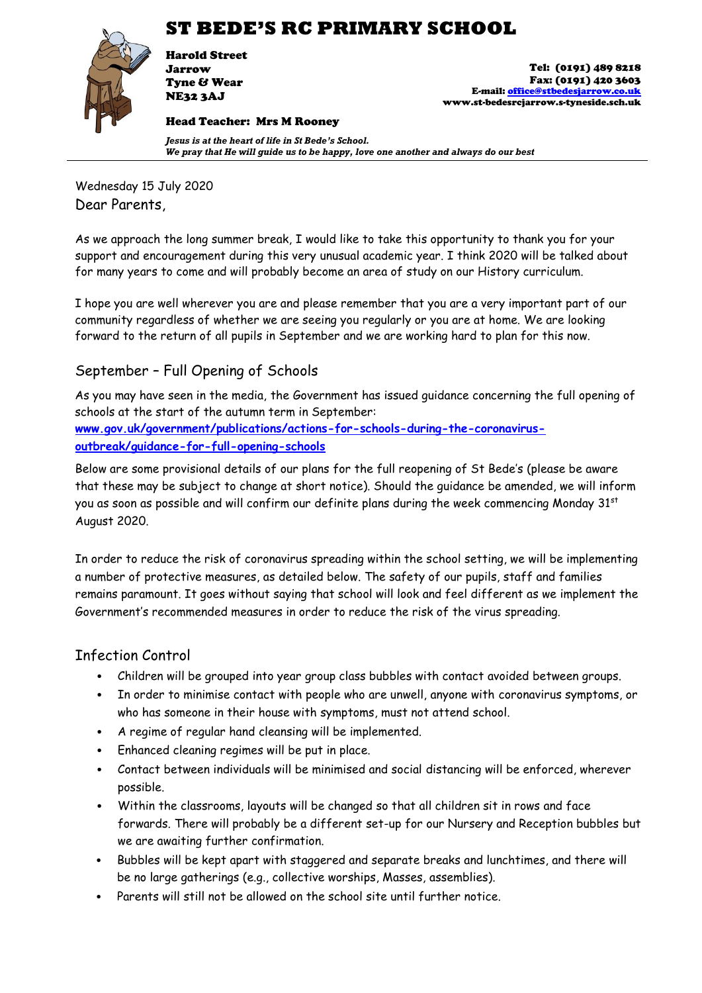# **ST BEDE'S RC PRIMARY SCHOOL**



Harold Street Jarrow Tyne & Wear NE32 3AJ

Head Teacher: Mrs M Rooney

Tel: (0191) 489 8218 Fax: (0191) 420 3603 E-mail[: office@stbedesjarrow.co.uk](mailto:office@stbedesjarrow.co.uk) www.st-bedesrcjarrow.s-tyneside.sch.uk

*Jesus is at the heart of life in St Bede's School. We pray that He will guide us to be happy, love one another and always do our best*

Wednesday 15 July 2020 Dear Parents,

As we approach the long summer break, I would like to take this opportunity to thank you for your support and encouragement during this very unusual academic year. I think 2020 will be talked about for many years to come and will probably become an area of study on our History curriculum.

I hope you are well wherever you are and please remember that you are a very important part of our community regardless of whether we are seeing you regularly or you are at home. We are looking forward to the return of all pupils in September and we are working hard to plan for this now.

# September – Full Opening of Schools

As you may have seen in the media, the Government has issued guidance concerning the full opening of schools at the start of the autumn term in September: **[www.gov.uk/government/publications/actions-for-schools-during-the-coronavirus](http://www.gov.uk/government/publications/actions-for-schools-during-the-coronavirus-outbreak/guidance-for-full-opening-schools)[outbreak/guidance-for-full-opening-schools](http://www.gov.uk/government/publications/actions-for-schools-during-the-coronavirus-outbreak/guidance-for-full-opening-schools)**

Below are some provisional details of our plans for the full reopening of St Bede's (please be aware that these may be subject to change at short notice). Should the guidance be amended, we will inform you as soon as possible and will confirm our definite plans during the week commencing Monday  $31<sup>st</sup>$ August 2020.

In order to reduce the risk of coronavirus spreading within the school setting, we will be implementing a number of protective measures, as detailed below. The safety of our pupils, staff and families remains paramount. It goes without saying that school will look and feel different as we implement the Government's recommended measures in order to reduce the risk of the virus spreading.

# Infection Control

- Children will be grouped into year group class bubbles with contact avoided between groups.
- In order to minimise contact with people who are unwell, anyone with coronavirus symptoms, or who has someone in their house with symptoms, must not attend school.
- A regime of regular hand cleansing will be implemented.
- Enhanced cleaning regimes will be put in place.
- Contact between individuals will be minimised and social distancing will be enforced, wherever possible.
- Within the classrooms, layouts will be changed so that all children sit in rows and face forwards. There will probably be a different set-up for our Nursery and Reception bubbles but we are awaiting further confirmation.
- Bubbles will be kept apart with staggered and separate breaks and lunchtimes, and there will be no large gatherings (e.g., collective worships, Masses, assemblies).
- Parents will still not be allowed on the school site until further notice.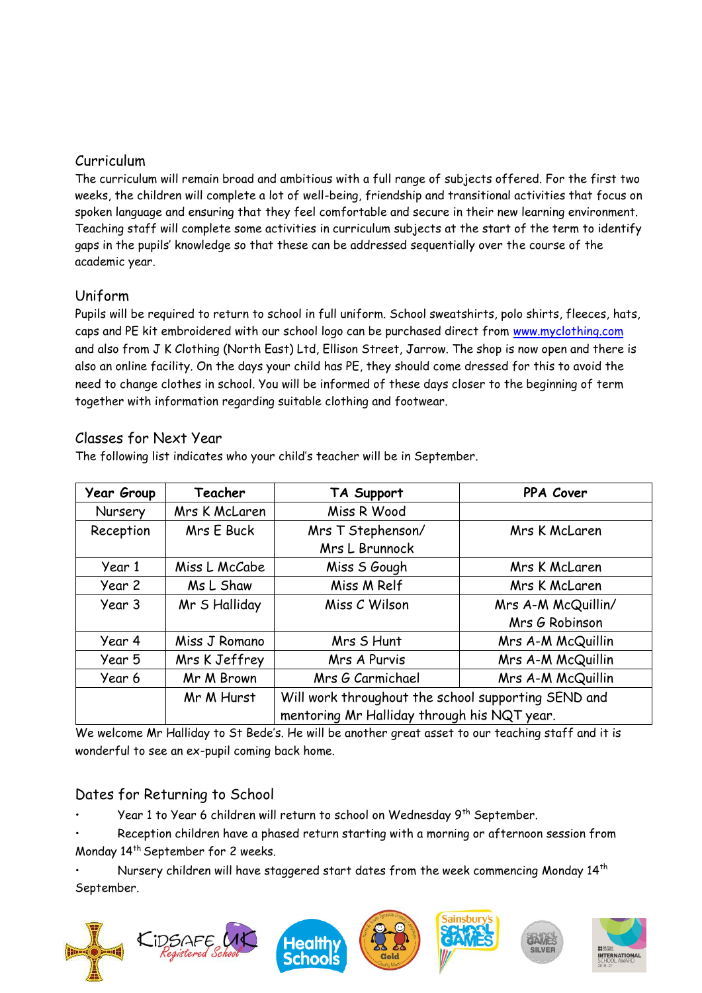### Curriculum

The curriculum will remain broad and ambitious with a full range of subjects offered. For the first two weeks, the children will complete a lot of well-being, friendship and transitional activities that focus on spoken language and ensuring that they feel comfortable and secure in their new learning environment. Teaching staff will complete some activities in curriculum subjects at the start of the term to identify gaps in the pupils' knowledge so that these can be addressed sequentially over the course of the academic year.

# Uniform

Pupils will be required to return to school in full uniform. School sweatshirts, polo shirts, fleeces, hats, caps and PE kit embroidered with our school logo can be purchased direct from [www.myclothing.com](http://www.myclothing.com/) and also from J K Clothing (North East) Ltd, Ellison Street, Jarrow. The shop is now open and there is also an online facility. On the days your child has PE, they should come dressed for this to avoid the need to change clothes in school. You will be informed of these days closer to the beginning of term together with information regarding suitable clothing and footwear.

#### Classes for Next Year

The following list indicates who your child's teacher will be in September.

| <b>Year Group</b>        | Teacher       | TA Support                                          | PPA Cover          |  |  |  |
|--------------------------|---------------|-----------------------------------------------------|--------------------|--|--|--|
| Mrs K McLaren<br>Nursery |               | Miss R Wood                                         |                    |  |  |  |
| Reception<br>Mrs E Buck  |               | Mrs T Stephenson/                                   | Mrs K McLaren      |  |  |  |
|                          |               | Mrs L Brunnock                                      |                    |  |  |  |
| Year 1                   | Miss L McCabe | Miss S Gough                                        | Mrs K McLaren      |  |  |  |
| Year 2                   | Ms L Shaw     | Miss M Relf                                         | Mrs K McLaren      |  |  |  |
| Mr S Halliday<br>Year 3  |               | Miss C Wilson                                       | Mrs A-M McQuillin/ |  |  |  |
|                          |               |                                                     | Mrs G Robinson     |  |  |  |
| Year 4<br>Miss J Romano  |               | Mrs S Hunt                                          | Mrs A-M McQuillin  |  |  |  |
| Mrs K Jeffrey<br>Year 5  |               | Mrs A Purvis                                        | Mrs A-M McQuillin  |  |  |  |
| Mr M Brown<br>Year 6     |               | Mrs G Carmichael                                    | Mrs A-M McQuillin  |  |  |  |
|                          | Mr M Hurst    | Will work throughout the school supporting SEND and |                    |  |  |  |
|                          |               | mentoring Mr Halliday through his NQT year.         |                    |  |  |  |

We welcome Mr Halliday to St Bede's. He will be another great asset to our teaching staff and it is wonderful to see an ex-pupil coming back home.

# Dates for Returning to School

Year 1 to Year 6 children will return to school on Wednesday 9<sup>th</sup> September.

• Reception children have a phased return starting with a morning or afternoon session from Monday 14th September for 2 weeks.

Nursery children will have staggered start dates from the week commencing Monday 14<sup>th</sup> September.

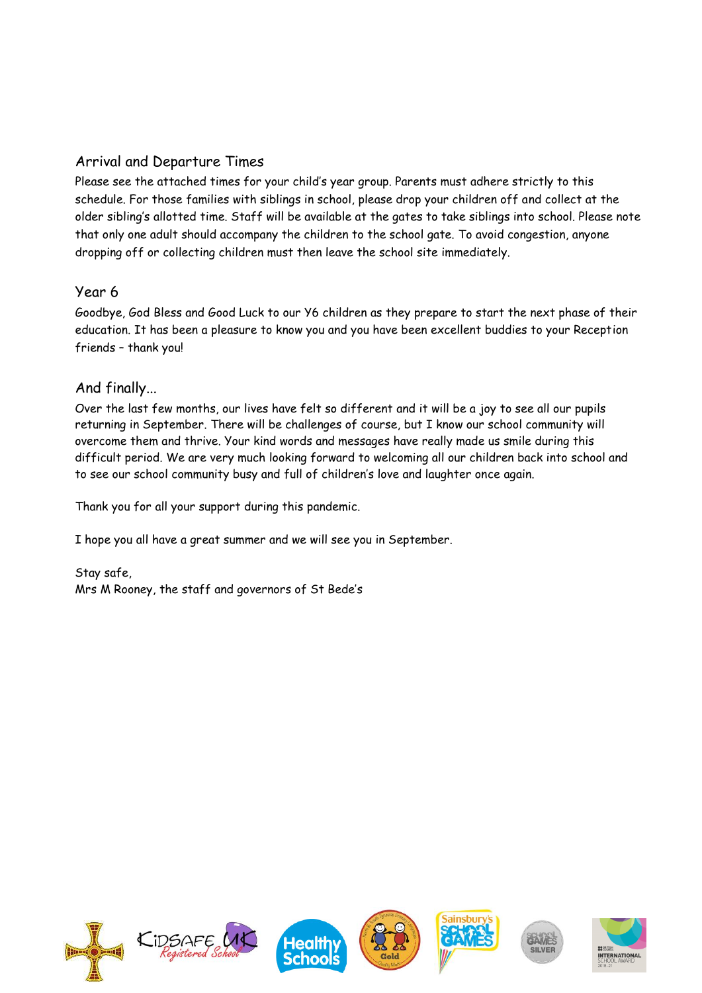# Arrival and Departure Times

Please see the attached times for your child's year group. Parents must adhere strictly to this schedule. For those families with siblings in school, please drop your children off and collect at the older sibling's allotted time. Staff will be available at the gates to take siblings into school. Please note that only one adult should accompany the children to the school gate. To avoid congestion, anyone dropping off or collecting children must then leave the school site immediately.

#### Year 6

Goodbye, God Bless and Good Luck to our Y6 children as they prepare to start the next phase of their education. It has been a pleasure to know you and you have been excellent buddies to your Reception friends – thank you!

# And finally...

Over the last few months, our lives have felt so different and it will be a joy to see all our pupils returning in September. There will be challenges of course, but I know our school community will overcome them and thrive. Your kind words and messages have really made us smile during this difficult period. We are very much looking forward to welcoming all our children back into school and to see our school community busy and full of children's love and laughter once again.

Thank you for all your support during this pandemic.

I hope you all have a great summer and we will see you in September.

Stay safe, Mrs M Rooney, the staff and governors of St Bede's